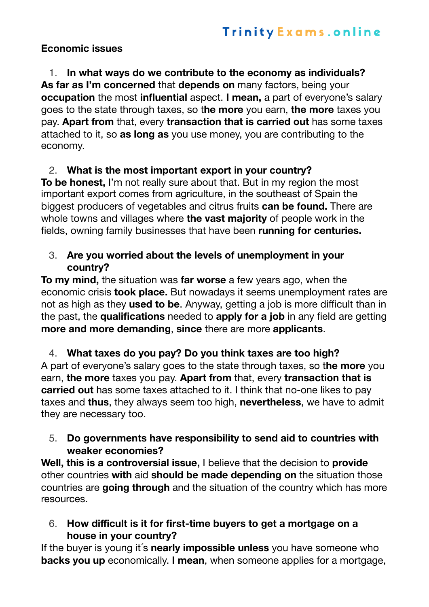#### **Economic issues**

1. **In what ways do we contribute to the economy as individuals? As far as I'm concerned** that **depends on** many factors, being your **occupation** the most **influential** aspect. **I mean,** a part of everyone's salary goes to the state through taxes, so t**he more** you earn, **the more** taxes you pay. **Apart from** that, every **transaction that is carried out** has some taxes attached to it, so **as long as** you use money, you are contributing to the economy.

# 2. **What is the most important export in your country?**

**To be honest,** I'm not really sure about that. But in my region the most important export comes from agriculture, in the southeast of Spain the biggest producers of vegetables and citrus fruits **can be found.** There are whole towns and villages where **the vast majority** of people work in the fields, owning family businesses that have been **running for centuries.** 

#### 3. **Are you worried about the levels of unemployment in your country?**

**To my mind,** the situation was **far worse** a few years ago, when the economic crisis **took place.** But nowadays it seems unemployment rates are not as high as they **used to be**. Anyway, getting a job is more difficult than in the past, the **qualifications** needed to **apply for a job** in any field are getting **more and more demanding**, **since** there are more **applicants**.

4. **What taxes do you pay? Do you think taxes are too high?**  A part of everyone's salary goes to the state through taxes, so t**he more** you earn, **the more** taxes you pay. **Apart from** that, every **transaction that is carried out** has some taxes attached to it. I think that no-one likes to pay

taxes and **thus**, they always seem too high, **nevertheless**, we have to admit they are necessary too.

## 5. **Do governments have responsibility to send aid to countries with weaker economies?**

**Well, this is a controversial issue,** I believe that the decision to **provide** other countries **with** aid **should be made depending on** the situation those countries are **going through** and the situation of the country which has more resources.

6. **How difficult is it for first-time buyers to get a mortgage on a house in your country?** 

If the buyer is young it´s **nearly impossible unless** you have someone who **backs you up** economically. **I mean**, when someone applies for a mortgage,